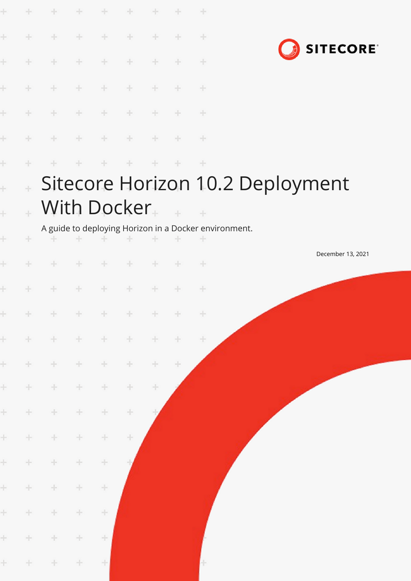| ÷         |        | ÷                 | ÷      | ÷                                                                                                | ÷      | ÷     | ÷         | ÷                                                          |                                  |
|-----------|--------|-------------------|--------|--------------------------------------------------------------------------------------------------|--------|-------|-----------|------------------------------------------------------------|----------------------------------|
| ÷         | $+$    | $+$               | $+$    | $+$                                                                                              | ÷      | $\pm$ | $+$       | $\pm$                                                      | <b>SITECORE</b>                  |
| ÷         | $+$    | $+$               | ÷      | ÷                                                                                                | ÷      | ÷     | ÷         | $\pm$                                                      |                                  |
| ÷         | $+$    | $+$               | $\pm$  | $\pm$                                                                                            | $\div$ | $+$   | ÷         | ÷                                                          |                                  |
| ÷         | $+$    | $+ \,$            | $+$    | ÷                                                                                                | $\div$ | $+$   | ÷         | $\div$                                                     |                                  |
| ÷         | $\pm$  | $+$               | $\pm$  | ÷                                                                                                | ÷      | $+$   | $+$       | ÷                                                          |                                  |
| ÷         | ÷.     | ÷                 | ÷      | $+$                                                                                              | $+$    | $+$   | ÷.        | $+$                                                        |                                  |
| Ł         |        |                   |        |                                                                                                  |        |       |           |                                                            | Sitecore Horizon 10.2 Deployment |
| $\ddot{}$ |        |                   |        | With Docker                                                                                      |        |       | $\sim 10$ | $-$ +                                                      |                                  |
| ÷         | ÷      | ÷.                | ÷      | and the                                                                                          |        |       |           | A guide to deploying Horizon in a Docker environment.<br>÷ |                                  |
| ÷         | ÷.     | $+$               | $+$    | $\frac{1}{2} \sum_{i=1}^n \frac{1}{2} \left( \frac{1}{2} \right)^2 \left( \frac{1}{2} \right)^2$ | ÷      | ÷     | ÷         | $+$                                                        | December 13, 2021                |
| ÷         | ÷.     | ÷                 | $+$    | ÷                                                                                                | $+$    | ÷     | $+$       | $\pm$                                                      |                                  |
|           |        |                   |        |                                                                                                  |        |       |           |                                                            |                                  |
|           |        | * * * * * * * * * |        |                                                                                                  |        |       |           |                                                            |                                  |
|           | $\pm$  | $\pm$             | ÷      | $\pm$                                                                                            | ÷      | ÷     | ÷         | $\pm$                                                      |                                  |
| ÷.        | $\pm$  | ÷                 | $\div$ | ÷                                                                                                | $\div$ | ÷     | $\pm$     |                                                            |                                  |
| $\pm$     | $+ \,$ | $\pm$             | $\pm$  | $\div$                                                                                           | ÷      | $\pm$ |           |                                                            |                                  |
| ÷.        | $\div$ | $\pm$             | $\pm$  | $\div$                                                                                           | $\div$ |       |           |                                                            |                                  |
| ÷         | $\pm$  | ÷                 | ÷      | $\div$                                                                                           | ÷      |       |           |                                                            |                                  |
| ÷.        | $\pm$  | $\div$            | $\div$ | $\div$                                                                                           |        |       |           |                                                            |                                  |
| ÷         | $\div$ | $\div$            | $\div$ | $\div$                                                                                           |        |       |           |                                                            |                                  |
| ÷         | $\pm$  | $\div$            | $\div$ | ÷                                                                                                |        |       |           |                                                            |                                  |
| ÷         | $\pm$  | ÷                 | $\pm$  | $\div$                                                                                           |        |       |           |                                                            |                                  |
| ÷.        | $+$    | $\div$            | $\pm$  | $\pm$                                                                                            |        |       |           |                                                            |                                  |
|           |        |                   |        |                                                                                                  |        |       |           |                                                            |                                  |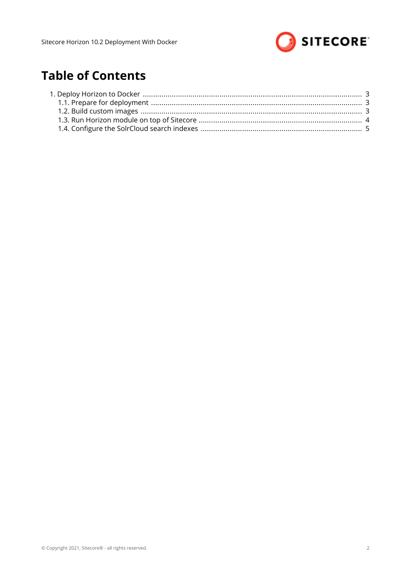

# **Table of Contents**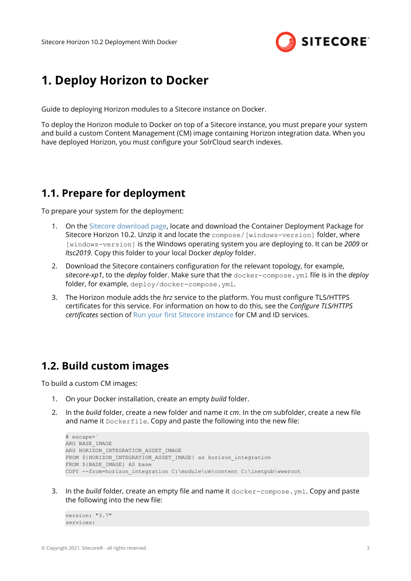

## <span id="page-2-0"></span>**1. Deploy Horizon to Docker**

Guide to deploying Horizon modules to a Sitecore instance on Docker.

To deploy the Horizon module to Docker on top of a Sitecore instance, you must prepare your system and build a custom Content Management (CM) image containing Horizon integration data. When you have deployed Horizon, you must configure your SolrCloud search indexes.

#### **1.1. Prepare for deployment**

To prepare your system for the deployment:

- 1. On the [Sitecore download page](https://dev.sitecore.net/Downloads/Sitecore_Horizon.aspx), locate and download the Container Deployment Package for Sitecore Horizon 10.2. Unzip it and locate the compose/[windows-version] folder, where [windows-version] is the Windows operating system you are deploying to. It can be *2009* or *ltsc2019*. Copy this folder to your local Docker *deploy* folder.
- 2. Download the Sitecore containers configuration for the relevant topology, for example, *sitecore-xp1*, to the *deploy* folder. Make sure that the docker-compose.yml ȴle is in the *deploy* folder, for example, deploy/docker-compose.yml.
- 3. The Horizon module adds the *hrz* service to the platform. You must configure TLS/HTTPS certificates for this service. For information on how to do this, see the *Configure TLS/HTTPS Fertificates* section of Run your first Sitecore instance for CM and ID services.

### **1.2. Build custom images**

To build a custom CM images:

- 1. On your Docker installation, create an empty *build* folder.
- 2. In the *build* folder, create a new folder and name it *cm*. In the *cm* subfolder, create a new file and name it Dockerfile. Copy and paste the following into the new file:

```
# escape=`
ARG BASE_IMAGE 
ARG HORIZON INTEGRATION ASSET IMAGE
FROM ${HORIZON INTEGRATION_ASSET_IMAGE} as horizon_integration
FROM ${BASE_IMAGE} AS base
COPY --from=horizon_integration C:\module\cm\content C:\inetpub\wwwroot
```
3. In the *build* folder, create an empty file and name it docker-compose. yml. Copy and paste the following into the new file:

```
version: "3.7"
services:
```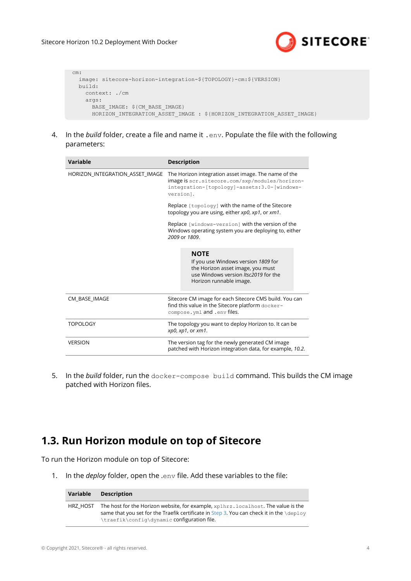

<span id="page-3-0"></span> cm: image: sitecore-horizon-integration-\${TOPOLOGY}-cm:\${VERSION} build: context: ./cm args: BASE IMAGE: \${CM BASE IMAGE} HORIZON INTEGRATION ASSET IMAGE : \${HORIZON INTEGRATION ASSET IMAGE}

4. In the *build* folder, create a file and name it . env. Populate the file with the following parameters:

| Variable                        | <b>Description</b>                                                                                                                                                 |  |  |
|---------------------------------|--------------------------------------------------------------------------------------------------------------------------------------------------------------------|--|--|
| HORIZON INTEGRATION ASSET IMAGE | The Horizon integration asset image. The name of the<br>image is scr.sitecore.com/sxp/modules/horizon-<br>integration-[topology]-assets:3.0-[windows-<br>version]. |  |  |
|                                 | Replace [topology] with the name of the Sitecore<br>topology you are using, either xp0, xp1, or xm1.                                                               |  |  |
|                                 | Replace [windows-version] with the version of the<br>Windows operating system you are deploying to, either<br>2009 or 1809.                                        |  |  |
|                                 | <b>NOTE</b><br>If you use Windows version 1809 for<br>the Horizon asset image, you must<br>use Windows version Itsc2019 for the<br>Horizon runnable image.         |  |  |
| CM_BASE_IMAGE                   | Sitecore CM image for each Sitecore CMS build. You can<br>find this value in the Sitecore platform docker-<br>compose.yml and .env files.                          |  |  |
| <b>TOPOLOGY</b>                 | The topology you want to deploy Horizon to. It can be<br>xp0, xp1, or xm1.                                                                                         |  |  |
| <b>VERSION</b>                  | The version tag for the newly generated CM image<br>patched with Horizon integration data, for example, 10.2.                                                      |  |  |

5. In the *build* folder, run the docker-compose build command. This builds the CM image patched with Horizon files.

### **1.3. Run Horizon module on top of Sitecore**

To run the Horizon module on top of Sitecore:

1. In the *deploy* folder, open the .env file. Add these variables to the file:

| Variable | <b>Description</b>                                                                                                                                                                                                                  |
|----------|-------------------------------------------------------------------------------------------------------------------------------------------------------------------------------------------------------------------------------------|
| HRZ HOST | The host for the Horizon website, for example, xp1hrz.localhost. The value is the<br>same that you set for the Traefik certificate in Step 3. You can check it in the $\text{depth}$<br>\traefik\confiq\dynamic configuration file. |